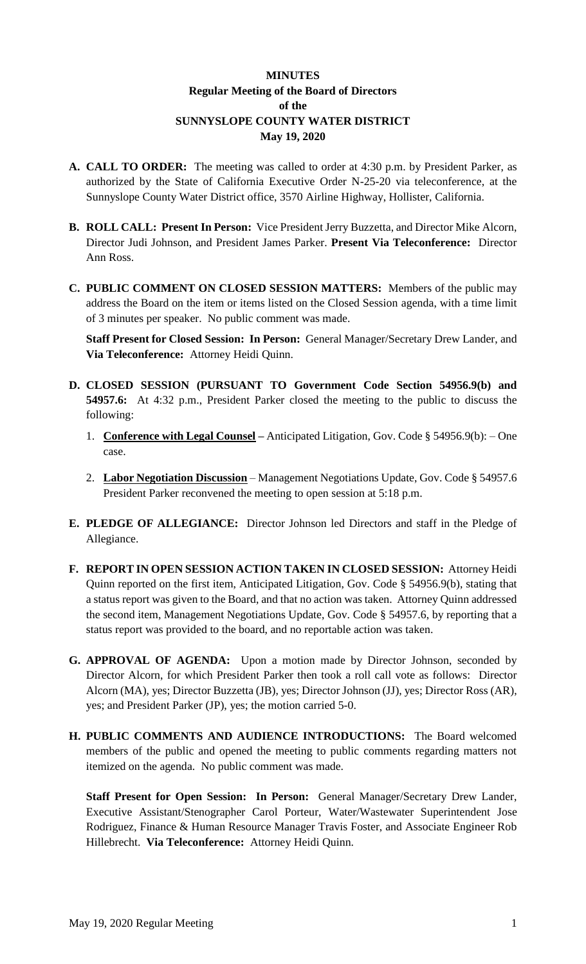# **MINUTES Regular Meeting of the Board of Directors of the SUNNYSLOPE COUNTY WATER DISTRICT May 19, 2020**

- **A. CALL TO ORDER:** The meeting was called to order at 4:30 p.m. by President Parker, as authorized by the State of California Executive Order N-25-20 via teleconference, at the Sunnyslope County Water District office, 3570 Airline Highway, Hollister, California.
- **B. ROLL CALL: Present In Person:** Vice President Jerry Buzzetta, and Director Mike Alcorn, Director Judi Johnson, and President James Parker. **Present Via Teleconference:** Director Ann Ross.
- **C. PUBLIC COMMENT ON CLOSED SESSION MATTERS:** Members of the public may address the Board on the item or items listed on the Closed Session agenda, with a time limit of 3 minutes per speaker. No public comment was made.

**Staff Present for Closed Session: In Person:** General Manager/Secretary Drew Lander, and **Via Teleconference:** Attorney Heidi Quinn.

- **D. CLOSED SESSION (PURSUANT TO Government Code Section 54956.9(b) and 54957.6:** At 4:32 p.m., President Parker closed the meeting to the public to discuss the following:
	- 1. **Conference with Legal Counsel –** Anticipated Litigation, Gov. Code § 54956.9(b): One case.
	- 2. **Labor Negotiation Discussion** Management Negotiations Update, Gov. Code § 54957.6 President Parker reconvened the meeting to open session at 5:18 p.m.
- **E. PLEDGE OF ALLEGIANCE:** Director Johnson led Directors and staff in the Pledge of Allegiance.
- **F. REPORT IN OPEN SESSION ACTION TAKEN IN CLOSED SESSION:** Attorney Heidi Quinn reported on the first item, Anticipated Litigation, Gov. Code § 54956.9(b), stating that a status report was given to the Board, and that no action was taken. Attorney Quinn addressed the second item, Management Negotiations Update, Gov. Code § 54957.6, by reporting that a status report was provided to the board, and no reportable action was taken.
- **G. APPROVAL OF AGENDA:** Upon a motion made by Director Johnson, seconded by Director Alcorn, for which President Parker then took a roll call vote as follows: Director Alcorn (MA), yes; Director Buzzetta (JB), yes; Director Johnson (JJ), yes; Director Ross (AR), yes; and President Parker (JP), yes; the motion carried 5-0.
- **H. PUBLIC COMMENTS AND AUDIENCE INTRODUCTIONS:** The Board welcomed members of the public and opened the meeting to public comments regarding matters not itemized on the agenda. No public comment was made.

**Staff Present for Open Session: In Person:** General Manager/Secretary Drew Lander, Executive Assistant/Stenographer Carol Porteur, Water/Wastewater Superintendent Jose Rodriguez, Finance & Human Resource Manager Travis Foster, and Associate Engineer Rob Hillebrecht. **Via Teleconference:** Attorney Heidi Quinn.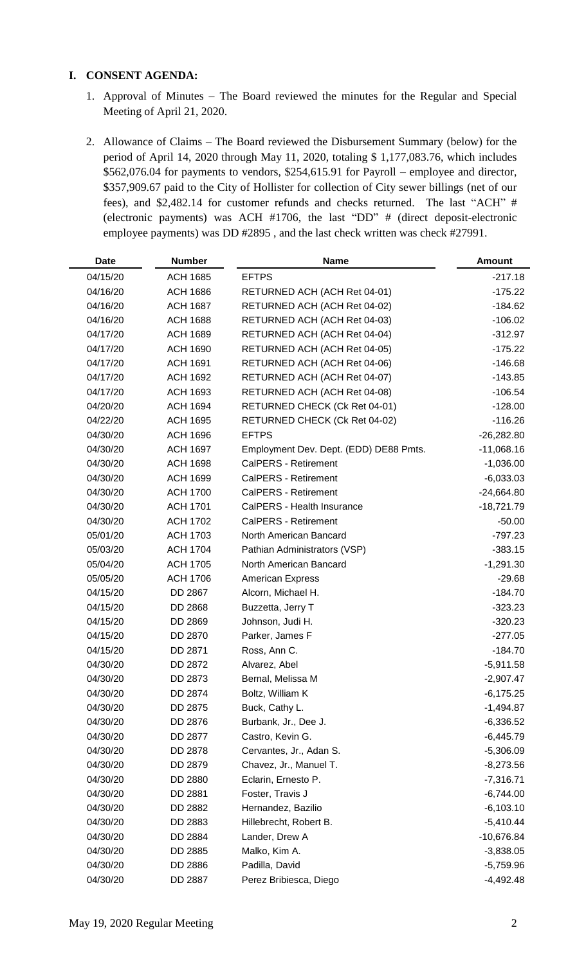### **I. CONSENT AGENDA:**

- 1. Approval of Minutes The Board reviewed the minutes for the Regular and Special Meeting of April 21, 2020.
- 2. Allowance of Claims The Board reviewed the Disbursement Summary (below) for the period of April 14, 2020 through May 11, 2020, totaling \$ 1,177,083.76, which includes \$562,076.04 for payments to vendors, \$254,615.91 for Payroll – employee and director, \$357,909.67 paid to the City of Hollister for collection of City sewer billings (net of our fees), and \$2,482.14 for customer refunds and checks returned. The last "ACH" # (electronic payments) was ACH #1706, the last "DD" # (direct deposit-electronic employee payments) was DD #2895 , and the last check written was check #27991.

| <b>Date</b> | <b>Number</b>   | <b>Name</b>                            | <b>Amount</b> |
|-------------|-----------------|----------------------------------------|---------------|
| 04/15/20    | <b>ACH 1685</b> | <b>EFTPS</b>                           | $-217.18$     |
| 04/16/20    | <b>ACH 1686</b> | RETURNED ACH (ACH Ret 04-01)           | $-175.22$     |
| 04/16/20    | <b>ACH 1687</b> | RETURNED ACH (ACH Ret 04-02)           | $-184.62$     |
| 04/16/20    | <b>ACH 1688</b> | RETURNED ACH (ACH Ret 04-03)           | $-106.02$     |
| 04/17/20    | <b>ACH 1689</b> | RETURNED ACH (ACH Ret 04-04)           | $-312.97$     |
| 04/17/20    | <b>ACH 1690</b> | RETURNED ACH (ACH Ret 04-05)           | $-175.22$     |
| 04/17/20    | <b>ACH 1691</b> | RETURNED ACH (ACH Ret 04-06)           | $-146.68$     |
| 04/17/20    | <b>ACH 1692</b> | RETURNED ACH (ACH Ret 04-07)           | $-143.85$     |
| 04/17/20    | <b>ACH 1693</b> | RETURNED ACH (ACH Ret 04-08)           | $-106.54$     |
| 04/20/20    | <b>ACH 1694</b> | RETURNED CHECK (Ck Ret 04-01)          | $-128.00$     |
| 04/22/20    | <b>ACH 1695</b> | RETURNED CHECK (Ck Ret 04-02)          | $-116.26$     |
| 04/30/20    | <b>ACH 1696</b> | <b>EFTPS</b>                           | $-26,282.80$  |
| 04/30/20    | <b>ACH 1697</b> | Employment Dev. Dept. (EDD) DE88 Pmts. | $-11,068.16$  |
| 04/30/20    | <b>ACH 1698</b> | CalPERS - Retirement                   | $-1,036.00$   |
| 04/30/20    | <b>ACH 1699</b> | CalPERS - Retirement                   | $-6,033.03$   |
| 04/30/20    | <b>ACH 1700</b> | CalPERS - Retirement                   | $-24,664.80$  |
| 04/30/20    | <b>ACH 1701</b> | CalPERS - Health Insurance             | $-18,721.79$  |
| 04/30/20    | <b>ACH 1702</b> | CalPERS - Retirement                   | $-50.00$      |
| 05/01/20    | <b>ACH 1703</b> | North American Bancard                 | $-797.23$     |
| 05/03/20    | <b>ACH 1704</b> | Pathian Administrators (VSP)           | $-383.15$     |
| 05/04/20    | <b>ACH 1705</b> | North American Bancard                 | $-1,291.30$   |
| 05/05/20    | <b>ACH 1706</b> | <b>American Express</b>                | $-29.68$      |
| 04/15/20    | DD 2867         | Alcorn, Michael H.                     | $-184.70$     |
| 04/15/20    | DD 2868         | Buzzetta, Jerry T                      | $-323.23$     |
| 04/15/20    | DD 2869         | Johnson, Judi H.                       | $-320.23$     |
| 04/15/20    | DD 2870         | Parker, James F                        | $-277.05$     |
| 04/15/20    | DD 2871         | Ross, Ann C.                           | $-184.70$     |
| 04/30/20    | DD 2872         | Alvarez, Abel                          | $-5,911.58$   |
| 04/30/20    | DD 2873         | Bernal, Melissa M                      | $-2,907.47$   |
| 04/30/20    | DD 2874         | Boltz, William K                       | $-6,175.25$   |
| 04/30/20    | DD 2875         | Buck, Cathy L.                         | $-1,494.87$   |
| 04/30/20    | DD 2876         | Burbank, Jr., Dee J.                   | $-6,336.52$   |
| 04/30/20    | DD 2877         | Castro, Kevin G.                       | $-6,445.79$   |
| 04/30/20    | DD 2878         | Cervantes, Jr., Adan S.                | $-5,306.09$   |
| 04/30/20    | DD 2879         | Chavez, Jr., Manuel T.                 | $-8,273.56$   |
| 04/30/20    | DD 2880         | Eclarin, Ernesto P.                    | $-7,316.71$   |
| 04/30/20    | DD 2881         | Foster, Travis J                       | $-6,744.00$   |
| 04/30/20    | DD 2882         | Hernandez, Bazilio                     | $-6,103.10$   |
| 04/30/20    | DD 2883         | Hillebrecht, Robert B.                 | $-5,410.44$   |
| 04/30/20    | DD 2884         | Lander, Drew A                         | $-10,676.84$  |
| 04/30/20    | DD 2885         | Malko, Kim A.                          | $-3,838.05$   |
| 04/30/20    | DD 2886         | Padilla, David                         | $-5,759.96$   |
| 04/30/20    | DD 2887         | Perez Bribiesca, Diego                 | $-4,492.48$   |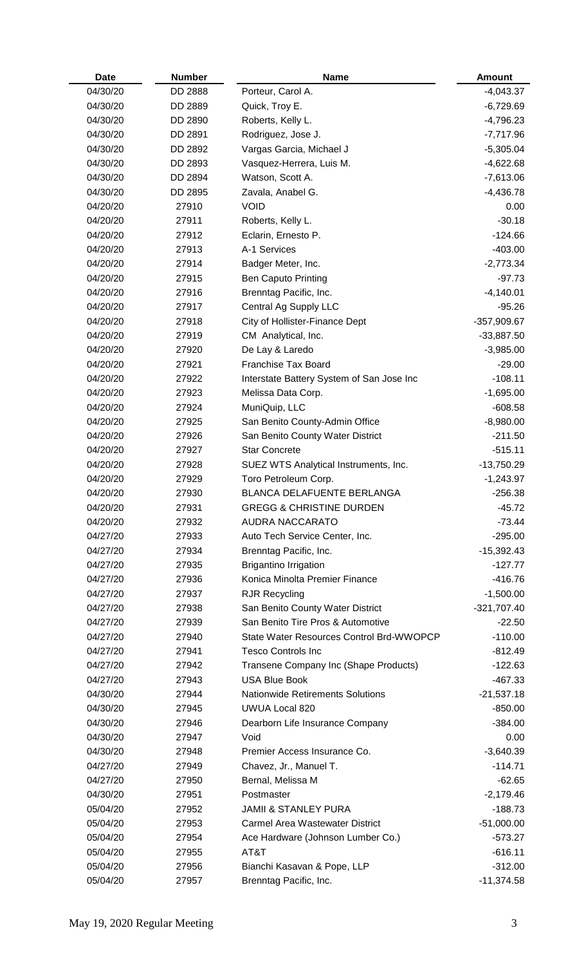| <b>Date</b> | <b>Number</b> | <b>Name</b>                               | <b>Amount</b> |
|-------------|---------------|-------------------------------------------|---------------|
| 04/30/20    | DD 2888       | Porteur, Carol A.                         | $-4,043.37$   |
| 04/30/20    | DD 2889       | Quick, Troy E.                            | $-6,729.69$   |
| 04/30/20    | DD 2890       | Roberts, Kelly L.                         | $-4,796.23$   |
| 04/30/20    | DD 2891       | Rodriguez, Jose J.                        | $-7,717.96$   |
| 04/30/20    | DD 2892       | Vargas Garcia, Michael J                  | $-5,305.04$   |
| 04/30/20    | DD 2893       | Vasquez-Herrera, Luis M.                  | $-4,622.68$   |
| 04/30/20    | DD 2894       | Watson, Scott A.                          | $-7,613.06$   |
| 04/30/20    | DD 2895       | Zavala, Anabel G.                         | $-4,436.78$   |
| 04/20/20    | 27910         | <b>VOID</b>                               | 0.00          |
| 04/20/20    | 27911         | Roberts, Kelly L.                         | $-30.18$      |
| 04/20/20    | 27912         | Eclarin, Ernesto P.                       | $-124.66$     |
| 04/20/20    | 27913         | A-1 Services                              | $-403.00$     |
| 04/20/20    | 27914         | Badger Meter, Inc.                        | $-2,773.34$   |
| 04/20/20    | 27915         | <b>Ben Caputo Printing</b>                | $-97.73$      |
| 04/20/20    | 27916         | Brenntag Pacific, Inc.                    | $-4,140.01$   |
| 04/20/20    | 27917         | Central Ag Supply LLC                     | $-95.26$      |
| 04/20/20    | 27918         | City of Hollister-Finance Dept            | $-357,909.67$ |
| 04/20/20    | 27919         | CM Analytical, Inc.                       | $-33,887.50$  |
| 04/20/20    | 27920         | De Lay & Laredo                           | $-3,985.00$   |
| 04/20/20    | 27921         | <b>Franchise Tax Board</b>                | $-29.00$      |
| 04/20/20    | 27922         | Interstate Battery System of San Jose Inc | $-108.11$     |
| 04/20/20    | 27923         | Melissa Data Corp.                        | $-1,695.00$   |
| 04/20/20    | 27924         | MuniQuip, LLC                             | $-608.58$     |
| 04/20/20    | 27925         | San Benito County-Admin Office            | $-8,980.00$   |
| 04/20/20    | 27926         | San Benito County Water District          | $-211.50$     |
| 04/20/20    | 27927         | <b>Star Concrete</b>                      | $-515.11$     |
| 04/20/20    | 27928         | SUEZ WTS Analytical Instruments, Inc.     | $-13,750.29$  |
| 04/20/20    | 27929         | Toro Petroleum Corp.                      | $-1,243.97$   |
| 04/20/20    | 27930         | BLANCA DELAFUENTE BERLANGA                | $-256.38$     |
| 04/20/20    | 27931         | <b>GREGG &amp; CHRISTINE DURDEN</b>       | $-45.72$      |
| 04/20/20    | 27932         | <b>AUDRA NACCARATO</b>                    | $-73.44$      |
| 04/27/20    | 27933         | Auto Tech Service Center, Inc.            | $-295.00$     |
| 04/27/20    | 27934         | Brenntag Pacific, Inc.                    | $-15,392.43$  |
| 04/27/20    | 27935         | <b>Brigantino Irrigation</b>              | $-127.77$     |
| 04/27/20    | 27936         | Konica Minolta Premier Finance            | $-416.76$     |
| 04/27/20    | 27937         | <b>RJR Recycling</b>                      | $-1,500.00$   |
| 04/27/20    | 27938         | San Benito County Water District          | $-321,707.40$ |
| 04/27/20    | 27939         | San Benito Tire Pros & Automotive         | $-22.50$      |
| 04/27/20    | 27940         | State Water Resources Control Brd-WWOPCP  | $-110.00$     |
| 04/27/20    | 27941         | <b>Tesco Controls Inc</b>                 | $-812.49$     |
| 04/27/20    | 27942         | Transene Company Inc (Shape Products)     | $-122.63$     |
| 04/27/20    | 27943         | <b>USA Blue Book</b>                      | $-467.33$     |
| 04/30/20    | 27944         | <b>Nationwide Retirements Solutions</b>   | $-21,537.18$  |
| 04/30/20    | 27945         | <b>UWUA Local 820</b>                     | $-850.00$     |
| 04/30/20    | 27946         | Dearborn Life Insurance Company           | $-384.00$     |
| 04/30/20    | 27947         | Void                                      | 0.00          |
| 04/30/20    | 27948         | Premier Access Insurance Co.              | $-3,640.39$   |
| 04/27/20    | 27949         | Chavez, Jr., Manuel T.                    | $-114.71$     |
| 04/27/20    | 27950         | Bernal, Melissa M                         | $-62.65$      |
| 04/30/20    | 27951         | Postmaster                                | $-2,179.46$   |
| 05/04/20    | 27952         | <b>JAMII &amp; STANLEY PURA</b>           | $-188.73$     |
| 05/04/20    | 27953         | <b>Carmel Area Wastewater District</b>    | $-51,000.00$  |
| 05/04/20    | 27954         | Ace Hardware (Johnson Lumber Co.)         | $-573.27$     |
| 05/04/20    | 27955         | AT&T                                      | $-616.11$     |
| 05/04/20    | 27956         | Bianchi Kasavan & Pope, LLP               | $-312.00$     |
| 05/04/20    | 27957         | Brenntag Pacific, Inc.                    | $-11,374.58$  |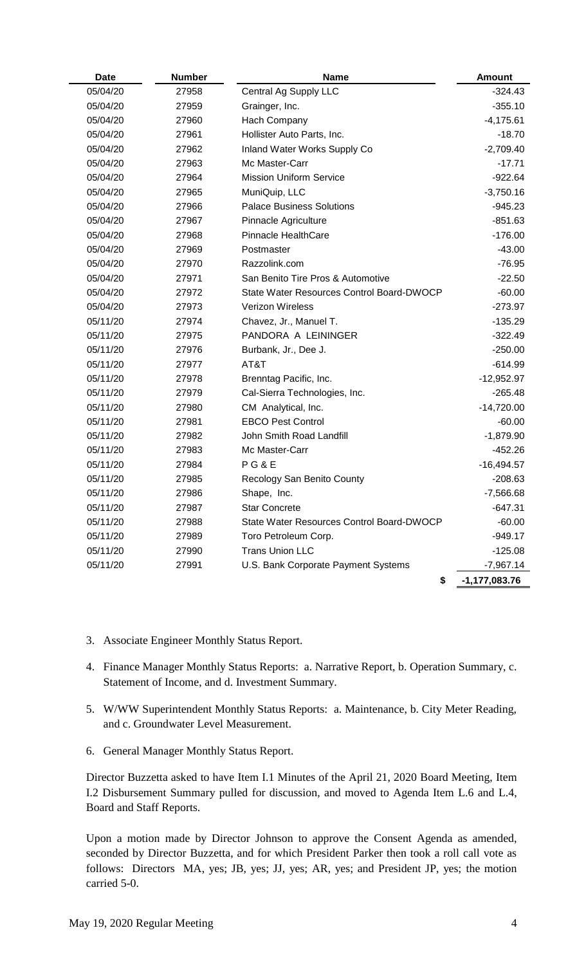| <b>Date</b> | <b>Number</b> | <b>Name</b>                               | <b>Amount</b>     |
|-------------|---------------|-------------------------------------------|-------------------|
| 05/04/20    | 27958         | Central Ag Supply LLC                     | $-324.43$         |
| 05/04/20    | 27959         | Grainger, Inc.                            | $-355.10$         |
| 05/04/20    | 27960         | Hach Company                              | $-4,175.61$       |
| 05/04/20    | 27961         | Hollister Auto Parts, Inc.                | $-18.70$          |
| 05/04/20    | 27962         | Inland Water Works Supply Co              | $-2,709.40$       |
| 05/04/20    | 27963         | Mc Master-Carr                            | $-17.71$          |
| 05/04/20    | 27964         | <b>Mission Uniform Service</b>            | $-922.64$         |
| 05/04/20    | 27965         | MuniQuip, LLC                             | $-3,750.16$       |
| 05/04/20    | 27966         | <b>Palace Business Solutions</b>          | $-945.23$         |
| 05/04/20    | 27967         | Pinnacle Agriculture                      | $-851.63$         |
| 05/04/20    | 27968         | Pinnacle HealthCare                       | $-176.00$         |
| 05/04/20    | 27969         | Postmaster                                | $-43.00$          |
| 05/04/20    | 27970         | Razzolink.com                             | $-76.95$          |
| 05/04/20    | 27971         | San Benito Tire Pros & Automotive         | $-22.50$          |
| 05/04/20    | 27972         | State Water Resources Control Board-DWOCP | $-60.00$          |
| 05/04/20    | 27973         | Verizon Wireless                          | $-273.97$         |
| 05/11/20    | 27974         | Chavez, Jr., Manuel T.                    | $-135.29$         |
| 05/11/20    | 27975         | PANDORA A LEININGER                       | $-322.49$         |
| 05/11/20    | 27976         | Burbank, Jr., Dee J.                      | $-250.00$         |
| 05/11/20    | 27977         | AT&T                                      | $-614.99$         |
| 05/11/20    | 27978         | Brenntag Pacific, Inc.                    | $-12,952.97$      |
| 05/11/20    | 27979         | Cal-Sierra Technologies, Inc.             | $-265.48$         |
| 05/11/20    | 27980         | CM Analytical, Inc.                       | $-14,720.00$      |
| 05/11/20    | 27981         | <b>EBCO Pest Control</b>                  | $-60.00$          |
| 05/11/20    | 27982         | John Smith Road Landfill                  | $-1,879.90$       |
| 05/11/20    | 27983         | Mc Master-Carr                            | $-452.26$         |
| 05/11/20    | 27984         | <b>PG&amp;E</b>                           | $-16,494.57$      |
| 05/11/20    | 27985         | Recology San Benito County                | $-208.63$         |
| 05/11/20    | 27986         | Shape, Inc.                               | $-7,566.68$       |
| 05/11/20    | 27987         | <b>Star Concrete</b>                      | $-647.31$         |
| 05/11/20    | 27988         | State Water Resources Control Board-DWOCP | $-60.00$          |
| 05/11/20    | 27989         | Toro Petroleum Corp.                      | $-949.17$         |
| 05/11/20    | 27990         | <b>Trans Union LLC</b>                    | $-125.08$         |
| 05/11/20    | 27991         | U.S. Bank Corporate Payment Systems       | $-7,967.14$       |
|             |               | \$                                        | $-1, 177, 083.76$ |

- 3. Associate Engineer Monthly Status Report.
- 4. Finance Manager Monthly Status Reports: a. Narrative Report, b. Operation Summary, c. Statement of Income, and d. Investment Summary.
- 5. W/WW Superintendent Monthly Status Reports: a. Maintenance, b. City Meter Reading, and c. Groundwater Level Measurement.
- 6. General Manager Monthly Status Report.

Director Buzzetta asked to have Item I.1 Minutes of the April 21, 2020 Board Meeting, Item I.2 Disbursement Summary pulled for discussion, and moved to Agenda Item L.6 and L.4, Board and Staff Reports.

Upon a motion made by Director Johnson to approve the Consent Agenda as amended, seconded by Director Buzzetta, and for which President Parker then took a roll call vote as follows: Directors MA, yes; JB, yes; JJ, yes; AR, yes; and President JP, yes; the motion carried 5-0.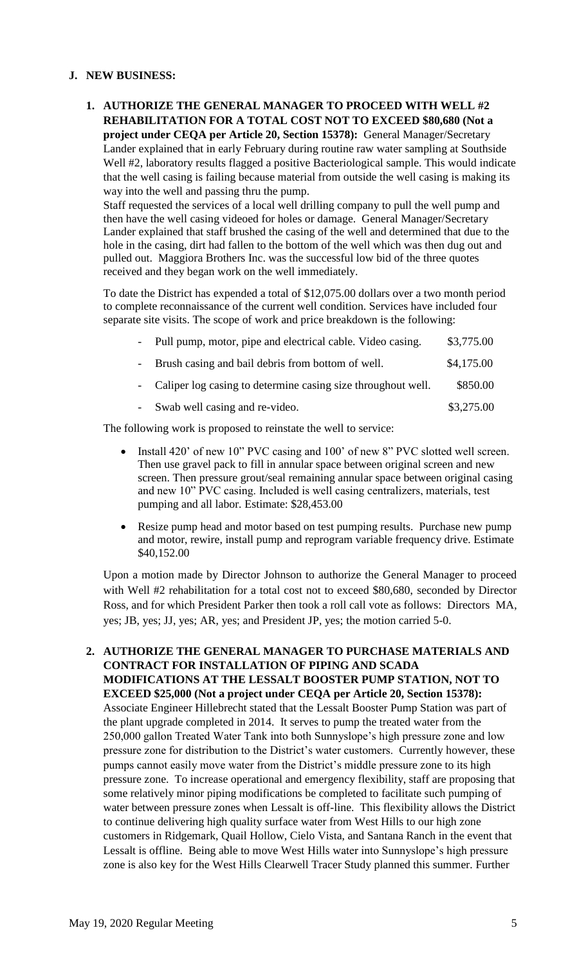### **J. NEW BUSINESS:**

**1. AUTHORIZE THE GENERAL MANAGER TO PROCEED WITH WELL #2 REHABILITATION FOR A TOTAL COST NOT TO EXCEED \$80,680 (Not a project under CEQA per Article 20, Section 15378):** General Manager/Secretary Lander explained that in early February during routine raw water sampling at Southside Well #2, laboratory results flagged a positive Bacteriological sample. This would indicate that the well casing is failing because material from outside the well casing is making its way into the well and passing thru the pump.

Staff requested the services of a local well drilling company to pull the well pump and then have the well casing videoed for holes or damage. General Manager/Secretary Lander explained that staff brushed the casing of the well and determined that due to the hole in the casing, dirt had fallen to the bottom of the well which was then dug out and pulled out. Maggiora Brothers Inc. was the successful low bid of the three quotes received and they began work on the well immediately.

To date the District has expended a total of \$12,075.00 dollars over a two month period to complete reconnaissance of the current well condition. Services have included four separate site visits. The scope of work and price breakdown is the following:

| - Pull pump, motor, pipe and electrical cable. Video casing. | \$3,775.00 |
|--------------------------------------------------------------|------------|
|                                                              |            |

- Brush casing and bail debris from bottom of well. \$4,175.00
- Caliper log casing to determine casing size throughout well.  $$850.00$
- Swab well casing and re-video.  $$3,275.00$

The following work is proposed to reinstate the well to service:

- Install 420' of new 10" PVC casing and 100' of new 8" PVC slotted well screen. Then use gravel pack to fill in annular space between original screen and new screen. Then pressure grout/seal remaining annular space between original casing and new 10" PVC casing. Included is well casing centralizers, materials, test pumping and all labor. Estimate: \$28,453.00
- Resize pump head and motor based on test pumping results. Purchase new pump and motor, rewire, install pump and reprogram variable frequency drive. Estimate \$40,152.00

Upon a motion made by Director Johnson to authorize the General Manager to proceed with Well #2 rehabilitation for a total cost not to exceed \$80,680, seconded by Director Ross, and for which President Parker then took a roll call vote as follows: Directors MA, yes; JB, yes; JJ, yes; AR, yes; and President JP, yes; the motion carried 5-0.

**2. AUTHORIZE THE GENERAL MANAGER TO PURCHASE MATERIALS AND CONTRACT FOR INSTALLATION OF PIPING AND SCADA MODIFICATIONS AT THE LESSALT BOOSTER PUMP STATION, NOT TO EXCEED \$25,000 (Not a project under CEQA per Article 20, Section 15378):** Associate Engineer Hillebrecht stated that the Lessalt Booster Pump Station was part of the plant upgrade completed in 2014. It serves to pump the treated water from the 250,000 gallon Treated Water Tank into both Sunnyslope's high pressure zone and low pressure zone for distribution to the District's water customers. Currently however, these pumps cannot easily move water from the District's middle pressure zone to its high pressure zone. To increase operational and emergency flexibility, staff are proposing that some relatively minor piping modifications be completed to facilitate such pumping of water between pressure zones when Lessalt is off-line. This flexibility allows the District to continue delivering high quality surface water from West Hills to our high zone customers in Ridgemark, Quail Hollow, Cielo Vista, and Santana Ranch in the event that Lessalt is offline. Being able to move West Hills water into Sunnyslope's high pressure zone is also key for the West Hills Clearwell Tracer Study planned this summer. Further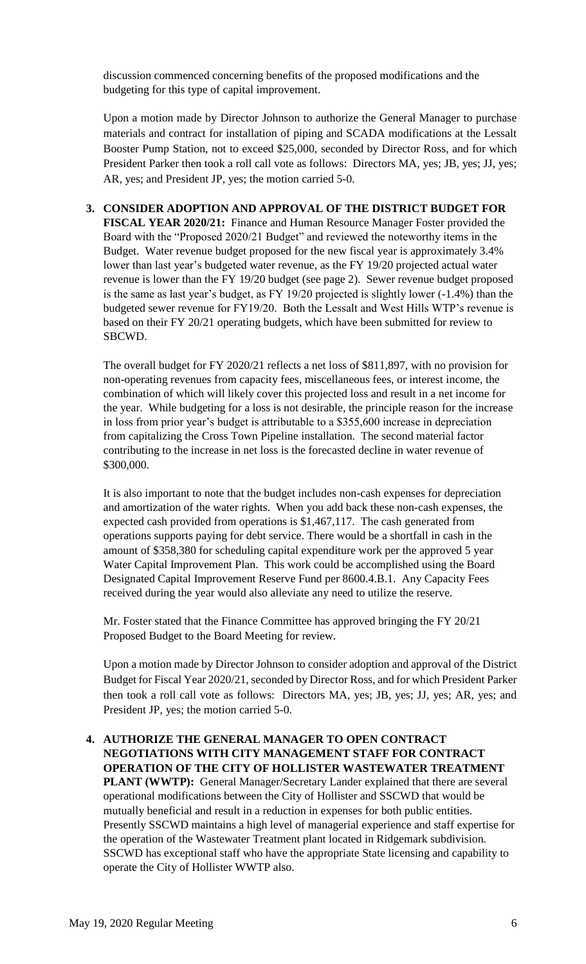discussion commenced concerning benefits of the proposed modifications and the budgeting for this type of capital improvement.

Upon a motion made by Director Johnson to authorize the General Manager to purchase materials and contract for installation of piping and SCADA modifications at the Lessalt Booster Pump Station, not to exceed \$25,000, seconded by Director Ross, and for which President Parker then took a roll call vote as follows: Directors MA, yes; JB, yes; JJ, yes; AR, yes; and President JP, yes; the motion carried 5-0.

**3. CONSIDER ADOPTION AND APPROVAL OF THE DISTRICT BUDGET FOR FISCAL YEAR 2020/21:** Finance and Human Resource Manager Foster provided the Board with the "Proposed 2020/21 Budget" and reviewed the noteworthy items in the Budget. Water revenue budget proposed for the new fiscal year is approximately 3.4% lower than last year's budgeted water revenue, as the FY 19/20 projected actual water revenue is lower than the FY 19/20 budget (see page 2). Sewer revenue budget proposed is the same as last year's budget, as FY 19/20 projected is slightly lower (-1.4%) than the budgeted sewer revenue for FY19/20. Both the Lessalt and West Hills WTP's revenue is based on their FY 20/21 operating budgets, which have been submitted for review to SBCWD.

The overall budget for FY 2020/21 reflects a net loss of \$811,897, with no provision for non-operating revenues from capacity fees, miscellaneous fees, or interest income, the combination of which will likely cover this projected loss and result in a net income for the year. While budgeting for a loss is not desirable, the principle reason for the increase in loss from prior year's budget is attributable to a \$355,600 increase in depreciation from capitalizing the Cross Town Pipeline installation. The second material factor contributing to the increase in net loss is the forecasted decline in water revenue of \$300,000.

It is also important to note that the budget includes non-cash expenses for depreciation and amortization of the water rights. When you add back these non-cash expenses, the expected cash provided from operations is \$1,467,117. The cash generated from operations supports paying for debt service. There would be a shortfall in cash in the amount of \$358,380 for scheduling capital expenditure work per the approved 5 year Water Capital Improvement Plan. This work could be accomplished using the Board Designated Capital Improvement Reserve Fund per 8600.4.B.1. Any Capacity Fees received during the year would also alleviate any need to utilize the reserve.

Mr. Foster stated that the Finance Committee has approved bringing the FY 20/21 Proposed Budget to the Board Meeting for review.

Upon a motion made by Director Johnson to consider adoption and approval of the District Budget for Fiscal Year 2020/21, seconded by Director Ross, and for which President Parker then took a roll call vote as follows: Directors MA, yes; JB, yes; JJ, yes; AR, yes; and President JP, yes; the motion carried 5-0.

**4. AUTHORIZE THE GENERAL MANAGER TO OPEN CONTRACT NEGOTIATIONS WITH CITY MANAGEMENT STAFF FOR CONTRACT OPERATION OF THE CITY OF HOLLISTER WASTEWATER TREATMENT PLANT (WWTP):** General Manager/Secretary Lander explained that there are several operational modifications between the City of Hollister and SSCWD that would be mutually beneficial and result in a reduction in expenses for both public entities. Presently SSCWD maintains a high level of managerial experience and staff expertise for the operation of the Wastewater Treatment plant located in Ridgemark subdivision. SSCWD has exceptional staff who have the appropriate State licensing and capability to operate the City of Hollister WWTP also.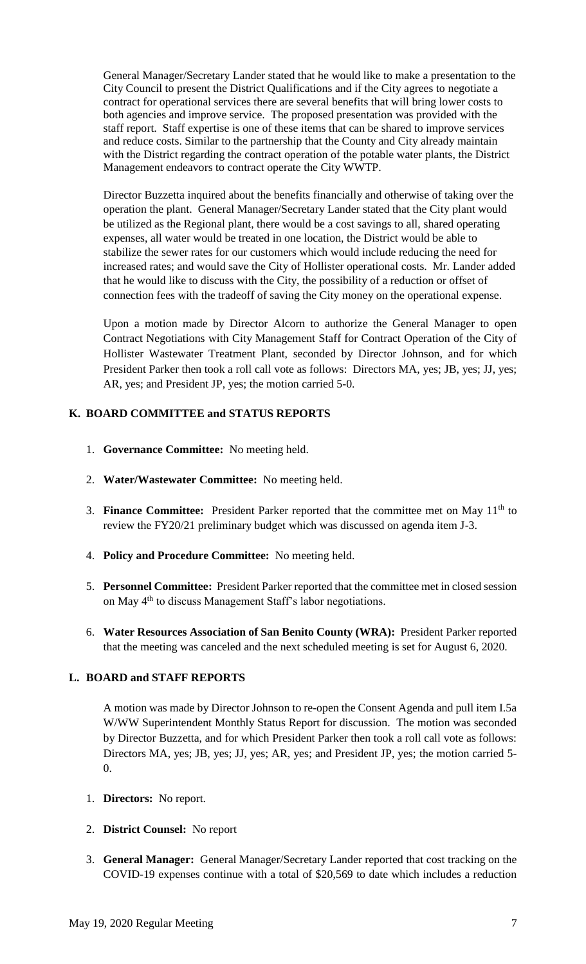General Manager/Secretary Lander stated that he would like to make a presentation to the City Council to present the District Qualifications and if the City agrees to negotiate a contract for operational services there are several benefits that will bring lower costs to both agencies and improve service. The proposed presentation was provided with the staff report. Staff expertise is one of these items that can be shared to improve services and reduce costs. Similar to the partnership that the County and City already maintain with the District regarding the contract operation of the potable water plants, the District Management endeavors to contract operate the City WWTP.

Director Buzzetta inquired about the benefits financially and otherwise of taking over the operation the plant. General Manager/Secretary Lander stated that the City plant would be utilized as the Regional plant, there would be a cost savings to all, shared operating expenses, all water would be treated in one location, the District would be able to stabilize the sewer rates for our customers which would include reducing the need for increased rates; and would save the City of Hollister operational costs. Mr. Lander added that he would like to discuss with the City, the possibility of a reduction or offset of connection fees with the tradeoff of saving the City money on the operational expense.

Upon a motion made by Director Alcorn to authorize the General Manager to open Contract Negotiations with City Management Staff for Contract Operation of the City of Hollister Wastewater Treatment Plant, seconded by Director Johnson, and for which President Parker then took a roll call vote as follows: Directors MA, yes; JB, yes; JJ, yes; AR, yes; and President JP, yes; the motion carried 5-0.

## **K. BOARD COMMITTEE and STATUS REPORTS**

- 1. **Governance Committee:** No meeting held.
- 2. **Water/Wastewater Committee:** No meeting held.
- 3. **Finance Committee:** President Parker reported that the committee met on May 11<sup>th</sup> to review the FY20/21 preliminary budget which was discussed on agenda item J-3.
- 4. **Policy and Procedure Committee:** No meeting held.
- 5. **Personnel Committee:** President Parker reported that the committee met in closed session on May 4<sup>th</sup> to discuss Management Staff's labor negotiations.
- 6. **Water Resources Association of San Benito County (WRA):** President Parker reported that the meeting was canceled and the next scheduled meeting is set for August 6, 2020.

#### **L. BOARD and STAFF REPORTS**

A motion was made by Director Johnson to re-open the Consent Agenda and pull item I.5a W/WW Superintendent Monthly Status Report for discussion. The motion was seconded by Director Buzzetta, and for which President Parker then took a roll call vote as follows: Directors MA, yes; JB, yes; JJ, yes; AR, yes; and President JP, yes; the motion carried 5- 0.

- 1. **Directors:** No report.
- 2. **District Counsel:** No report
- 3. **General Manager:** General Manager/Secretary Lander reported that cost tracking on the COVID-19 expenses continue with a total of \$20,569 to date which includes a reduction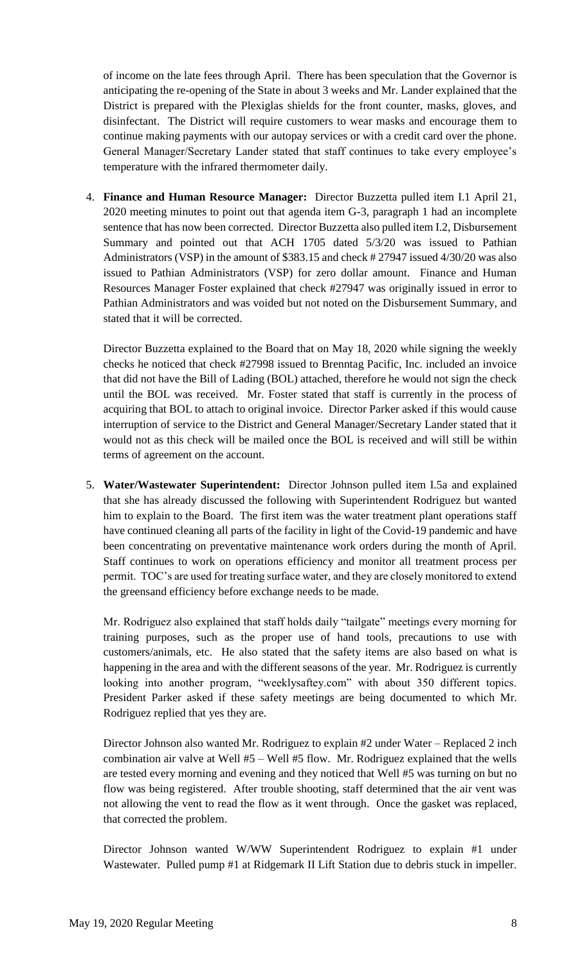of income on the late fees through April. There has been speculation that the Governor is anticipating the re-opening of the State in about 3 weeks and Mr. Lander explained that the District is prepared with the Plexiglas shields for the front counter, masks, gloves, and disinfectant. The District will require customers to wear masks and encourage them to continue making payments with our autopay services or with a credit card over the phone. General Manager/Secretary Lander stated that staff continues to take every employee's temperature with the infrared thermometer daily.

4. **Finance and Human Resource Manager:** Director Buzzetta pulled item I.1 April 21, 2020 meeting minutes to point out that agenda item G-3, paragraph 1 had an incomplete sentence that has now been corrected. Director Buzzetta also pulled item I.2, Disbursement Summary and pointed out that ACH 1705 dated 5/3/20 was issued to Pathian Administrators (VSP) in the amount of \$383.15 and check # 27947 issued 4/30/20 was also issued to Pathian Administrators (VSP) for zero dollar amount. Finance and Human Resources Manager Foster explained that check #27947 was originally issued in error to Pathian Administrators and was voided but not noted on the Disbursement Summary, and stated that it will be corrected.

Director Buzzetta explained to the Board that on May 18, 2020 while signing the weekly checks he noticed that check #27998 issued to Brenntag Pacific, Inc. included an invoice that did not have the Bill of Lading (BOL) attached, therefore he would not sign the check until the BOL was received. Mr. Foster stated that staff is currently in the process of acquiring that BOL to attach to original invoice. Director Parker asked if this would cause interruption of service to the District and General Manager/Secretary Lander stated that it would not as this check will be mailed once the BOL is received and will still be within terms of agreement on the account.

5. **Water/Wastewater Superintendent:** Director Johnson pulled item I.5a and explained that she has already discussed the following with Superintendent Rodriguez but wanted him to explain to the Board. The first item was the water treatment plant operations staff have continued cleaning all parts of the facility in light of the Covid-19 pandemic and have been concentrating on preventative maintenance work orders during the month of April. Staff continues to work on operations efficiency and monitor all treatment process per permit. TOC's are used for treating surface water, and they are closely monitored to extend the greensand efficiency before exchange needs to be made.

Mr. Rodriguez also explained that staff holds daily "tailgate" meetings every morning for training purposes, such as the proper use of hand tools, precautions to use with customers/animals, etc. He also stated that the safety items are also based on what is happening in the area and with the different seasons of the year. Mr. Rodriguez is currently looking into another program, "weeklysaftey.com" with about 350 different topics. President Parker asked if these safety meetings are being documented to which Mr. Rodriguez replied that yes they are.

Director Johnson also wanted Mr. Rodriguez to explain #2 under Water – Replaced 2 inch combination air valve at Well #5 – Well #5 flow. Mr. Rodriguez explained that the wells are tested every morning and evening and they noticed that Well #5 was turning on but no flow was being registered. After trouble shooting, staff determined that the air vent was not allowing the vent to read the flow as it went through. Once the gasket was replaced, that corrected the problem.

Director Johnson wanted W/WW Superintendent Rodriguez to explain #1 under Wastewater. Pulled pump #1 at Ridgemark II Lift Station due to debris stuck in impeller.